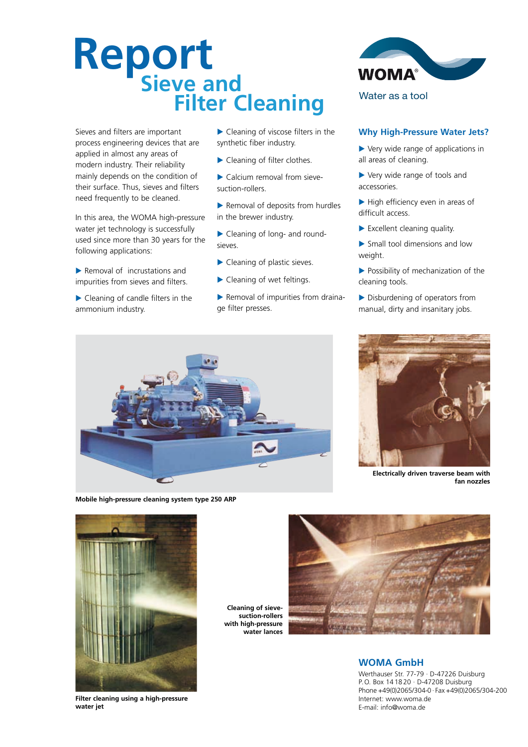# **Report Sieve and Filter Cleaning**

Sieves and filters are important process engineering devices that are applied in almost any areas of modern industry. Their reliability mainly depends on the condition of their surface. Thus, sieves and filters need frequently to be cleaned.

In this area, the WOMA high-pressure water jet technology is successfully used since more than 30 years for the following applications:

Removal of incrustations and impurities from sieves and filters.

▶ Cleaning of candle filters in the ammonium industry.

▶ Cleaning of viscose filters in the synthetic fiber industry.

- ▶ Cleaning of filter clothes.
- Calcium removal from sievesuction-rollers.
- ▶ Removal of deposits from hurdles in the brewer industry.
- ▶ Cleaning of long- and roundsieves.
- ▶ Cleaning of plastic sieves.
- ▶ Cleaning of wet feltings.
- Removal of impurities from drainage filter presses.



## **Why High-Pressure Water Jets?**

- ▶ Very wide range of applications in all areas of cleaning.
- Very wide range of tools and accessories.
- $\blacktriangleright$  High efficiency even in areas of difficult access.
- Excellent cleaning quality.
- Small tool dimensions and low weight.
- Possibility of mechanization of the cleaning tools.
- Disburdening of operators from manual, dirty and insanitary jobs.



**Mobile high-pressure cleaning system type 250 ARP**



**Electrically driven traverse beam with fan nozzles**



**Filter cleaning using a high-pressure water jet**

**Cleaning of sievesuction-rollers** with high-pressure **water lances**



## **WOMA GmbH**

Werthauser Str. 77-79 · D-47226 Duisburg P.O. Box 14 18 20 · D-47208 Duisburg Phone +49(0)2065/304-0 · Fax +49(0)2065/304-200 Internet: www.woma.de E-mail: info@woma.de